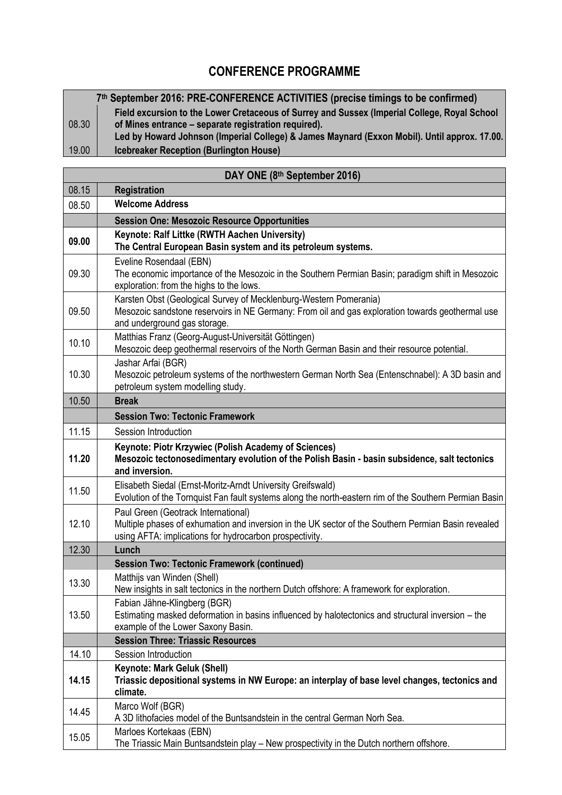## **CONFERENCE PROGRAMME**

| 7th September 2016: PRE-CONFERENCE ACTIVITIES (precise timings to be confirmed) |                                                                                              |
|---------------------------------------------------------------------------------|----------------------------------------------------------------------------------------------|
|                                                                                 | Field excursion to the Lower Cretaceous of Surrey and Sussex (Imperial College, Royal School |
| 08.30                                                                           | of Mines entrance – separate registration required).                                         |
|                                                                                 | Led by Howard Johnson (Imperial College) & James Maynard (Exxon Mobil). Until approx. 17.00. |
| 19.00                                                                           | <b>Icebreaker Reception (Burlington House)</b>                                               |

| 08.15<br><b>Registration</b><br><b>Welcome Address</b><br>08.50<br><b>Session One: Mesozoic Resource Opportunities</b><br>Keynote: Ralf Littke (RWTH Aachen University)<br>09.00<br>The Central European Basin system and its petroleum systems.<br>Eveline Rosendaal (EBN)<br>09.30<br>The economic importance of the Mesozoic in the Southern Permian Basin; paradigm shift in Mesozoic<br>exploration: from the highs to the lows.<br>Karsten Obst (Geological Survey of Mecklenburg-Western Pomerania)<br>Mesozoic sandstone reservoirs in NE Germany: From oil and gas exploration towards geothermal use<br>09.50<br>and underground gas storage.<br>Matthias Franz (Georg-August-Universität Göttingen)<br>10.10<br>Mesozoic deep geothermal reservoirs of the North German Basin and their resource potential.<br>Jashar Arfai (BGR)<br>10.30<br>Mesozoic petroleum systems of the northwestern German North Sea (Entenschnabel): A 3D basin and<br>petroleum system modelling study.<br>10.50<br><b>Break</b><br><b>Session Two: Tectonic Framework</b><br>11.15<br>Session Introduction<br>Keynote: Piotr Krzywiec (Polish Academy of Sciences)<br>Mesozoic tectonosedimentary evolution of the Polish Basin - basin subsidence, salt tectonics<br>11.20<br>and inversion.<br>Elisabeth Siedal (Ernst-Moritz-Arndt University Greifswald)<br>11.50<br>Evolution of the Tornquist Fan fault systems along the north-eastern rim of the Southern Permian Basin<br>Paul Green (Geotrack International)<br>Multiple phases of exhumation and inversion in the UK sector of the Southern Permian Basin revealed<br>12.10<br>using AFTA: implications for hydrocarbon prospectivity.<br>12.30<br>Lunch<br><b>Session Two: Tectonic Framework (continued)</b><br>Matthijs van Winden (Shell)<br>13.30<br>New insights in salt tectonics in the northern Dutch offshore: A framework for exploration.<br>Fabian Jähne-Klingberg (BGR)<br>Estimating masked deformation in basins influenced by halotectonics and structural inversion - the<br>13.50<br>example of the Lower Saxony Basin.<br><b>Session Three: Triassic Resources</b><br>14.10<br>Session Introduction<br><b>Keynote: Mark Geluk (Shell)</b><br>Triassic depositional systems in NW Europe: an interplay of base level changes, tectonics and<br>14.15<br>climate.<br>Marco Wolf (BGR)<br>14.45<br>A 3D lithofacies model of the Buntsandstein in the central German Norh Sea.<br>Marloes Kortekaas (EBN)<br>15.05<br>The Triassic Main Buntsandstein play - New prospectivity in the Dutch northern offshore. | DAY ONE (8th September 2016) |  |  |
|-----------------------------------------------------------------------------------------------------------------------------------------------------------------------------------------------------------------------------------------------------------------------------------------------------------------------------------------------------------------------------------------------------------------------------------------------------------------------------------------------------------------------------------------------------------------------------------------------------------------------------------------------------------------------------------------------------------------------------------------------------------------------------------------------------------------------------------------------------------------------------------------------------------------------------------------------------------------------------------------------------------------------------------------------------------------------------------------------------------------------------------------------------------------------------------------------------------------------------------------------------------------------------------------------------------------------------------------------------------------------------------------------------------------------------------------------------------------------------------------------------------------------------------------------------------------------------------------------------------------------------------------------------------------------------------------------------------------------------------------------------------------------------------------------------------------------------------------------------------------------------------------------------------------------------------------------------------------------------------------------------------------------------------------------------------------------------------------------------------------------------------------------------------------------------------------------------------------------------------------------------------------------------------------------------------------------------------------------------------------------------------------------------------------------------------------------------------------------------------------------------------------------------------------------------------------------------------|------------------------------|--|--|
|                                                                                                                                                                                                                                                                                                                                                                                                                                                                                                                                                                                                                                                                                                                                                                                                                                                                                                                                                                                                                                                                                                                                                                                                                                                                                                                                                                                                                                                                                                                                                                                                                                                                                                                                                                                                                                                                                                                                                                                                                                                                                                                                                                                                                                                                                                                                                                                                                                                                                                                                                                                   |                              |  |  |
|                                                                                                                                                                                                                                                                                                                                                                                                                                                                                                                                                                                                                                                                                                                                                                                                                                                                                                                                                                                                                                                                                                                                                                                                                                                                                                                                                                                                                                                                                                                                                                                                                                                                                                                                                                                                                                                                                                                                                                                                                                                                                                                                                                                                                                                                                                                                                                                                                                                                                                                                                                                   |                              |  |  |
|                                                                                                                                                                                                                                                                                                                                                                                                                                                                                                                                                                                                                                                                                                                                                                                                                                                                                                                                                                                                                                                                                                                                                                                                                                                                                                                                                                                                                                                                                                                                                                                                                                                                                                                                                                                                                                                                                                                                                                                                                                                                                                                                                                                                                                                                                                                                                                                                                                                                                                                                                                                   |                              |  |  |
|                                                                                                                                                                                                                                                                                                                                                                                                                                                                                                                                                                                                                                                                                                                                                                                                                                                                                                                                                                                                                                                                                                                                                                                                                                                                                                                                                                                                                                                                                                                                                                                                                                                                                                                                                                                                                                                                                                                                                                                                                                                                                                                                                                                                                                                                                                                                                                                                                                                                                                                                                                                   |                              |  |  |
|                                                                                                                                                                                                                                                                                                                                                                                                                                                                                                                                                                                                                                                                                                                                                                                                                                                                                                                                                                                                                                                                                                                                                                                                                                                                                                                                                                                                                                                                                                                                                                                                                                                                                                                                                                                                                                                                                                                                                                                                                                                                                                                                                                                                                                                                                                                                                                                                                                                                                                                                                                                   |                              |  |  |
|                                                                                                                                                                                                                                                                                                                                                                                                                                                                                                                                                                                                                                                                                                                                                                                                                                                                                                                                                                                                                                                                                                                                                                                                                                                                                                                                                                                                                                                                                                                                                                                                                                                                                                                                                                                                                                                                                                                                                                                                                                                                                                                                                                                                                                                                                                                                                                                                                                                                                                                                                                                   |                              |  |  |
|                                                                                                                                                                                                                                                                                                                                                                                                                                                                                                                                                                                                                                                                                                                                                                                                                                                                                                                                                                                                                                                                                                                                                                                                                                                                                                                                                                                                                                                                                                                                                                                                                                                                                                                                                                                                                                                                                                                                                                                                                                                                                                                                                                                                                                                                                                                                                                                                                                                                                                                                                                                   |                              |  |  |
|                                                                                                                                                                                                                                                                                                                                                                                                                                                                                                                                                                                                                                                                                                                                                                                                                                                                                                                                                                                                                                                                                                                                                                                                                                                                                                                                                                                                                                                                                                                                                                                                                                                                                                                                                                                                                                                                                                                                                                                                                                                                                                                                                                                                                                                                                                                                                                                                                                                                                                                                                                                   |                              |  |  |
|                                                                                                                                                                                                                                                                                                                                                                                                                                                                                                                                                                                                                                                                                                                                                                                                                                                                                                                                                                                                                                                                                                                                                                                                                                                                                                                                                                                                                                                                                                                                                                                                                                                                                                                                                                                                                                                                                                                                                                                                                                                                                                                                                                                                                                                                                                                                                                                                                                                                                                                                                                                   |                              |  |  |
|                                                                                                                                                                                                                                                                                                                                                                                                                                                                                                                                                                                                                                                                                                                                                                                                                                                                                                                                                                                                                                                                                                                                                                                                                                                                                                                                                                                                                                                                                                                                                                                                                                                                                                                                                                                                                                                                                                                                                                                                                                                                                                                                                                                                                                                                                                                                                                                                                                                                                                                                                                                   |                              |  |  |
|                                                                                                                                                                                                                                                                                                                                                                                                                                                                                                                                                                                                                                                                                                                                                                                                                                                                                                                                                                                                                                                                                                                                                                                                                                                                                                                                                                                                                                                                                                                                                                                                                                                                                                                                                                                                                                                                                                                                                                                                                                                                                                                                                                                                                                                                                                                                                                                                                                                                                                                                                                                   |                              |  |  |
|                                                                                                                                                                                                                                                                                                                                                                                                                                                                                                                                                                                                                                                                                                                                                                                                                                                                                                                                                                                                                                                                                                                                                                                                                                                                                                                                                                                                                                                                                                                                                                                                                                                                                                                                                                                                                                                                                                                                                                                                                                                                                                                                                                                                                                                                                                                                                                                                                                                                                                                                                                                   |                              |  |  |
|                                                                                                                                                                                                                                                                                                                                                                                                                                                                                                                                                                                                                                                                                                                                                                                                                                                                                                                                                                                                                                                                                                                                                                                                                                                                                                                                                                                                                                                                                                                                                                                                                                                                                                                                                                                                                                                                                                                                                                                                                                                                                                                                                                                                                                                                                                                                                                                                                                                                                                                                                                                   |                              |  |  |
|                                                                                                                                                                                                                                                                                                                                                                                                                                                                                                                                                                                                                                                                                                                                                                                                                                                                                                                                                                                                                                                                                                                                                                                                                                                                                                                                                                                                                                                                                                                                                                                                                                                                                                                                                                                                                                                                                                                                                                                                                                                                                                                                                                                                                                                                                                                                                                                                                                                                                                                                                                                   |                              |  |  |
|                                                                                                                                                                                                                                                                                                                                                                                                                                                                                                                                                                                                                                                                                                                                                                                                                                                                                                                                                                                                                                                                                                                                                                                                                                                                                                                                                                                                                                                                                                                                                                                                                                                                                                                                                                                                                                                                                                                                                                                                                                                                                                                                                                                                                                                                                                                                                                                                                                                                                                                                                                                   |                              |  |  |
|                                                                                                                                                                                                                                                                                                                                                                                                                                                                                                                                                                                                                                                                                                                                                                                                                                                                                                                                                                                                                                                                                                                                                                                                                                                                                                                                                                                                                                                                                                                                                                                                                                                                                                                                                                                                                                                                                                                                                                                                                                                                                                                                                                                                                                                                                                                                                                                                                                                                                                                                                                                   |                              |  |  |
|                                                                                                                                                                                                                                                                                                                                                                                                                                                                                                                                                                                                                                                                                                                                                                                                                                                                                                                                                                                                                                                                                                                                                                                                                                                                                                                                                                                                                                                                                                                                                                                                                                                                                                                                                                                                                                                                                                                                                                                                                                                                                                                                                                                                                                                                                                                                                                                                                                                                                                                                                                                   |                              |  |  |
|                                                                                                                                                                                                                                                                                                                                                                                                                                                                                                                                                                                                                                                                                                                                                                                                                                                                                                                                                                                                                                                                                                                                                                                                                                                                                                                                                                                                                                                                                                                                                                                                                                                                                                                                                                                                                                                                                                                                                                                                                                                                                                                                                                                                                                                                                                                                                                                                                                                                                                                                                                                   |                              |  |  |
|                                                                                                                                                                                                                                                                                                                                                                                                                                                                                                                                                                                                                                                                                                                                                                                                                                                                                                                                                                                                                                                                                                                                                                                                                                                                                                                                                                                                                                                                                                                                                                                                                                                                                                                                                                                                                                                                                                                                                                                                                                                                                                                                                                                                                                                                                                                                                                                                                                                                                                                                                                                   |                              |  |  |
|                                                                                                                                                                                                                                                                                                                                                                                                                                                                                                                                                                                                                                                                                                                                                                                                                                                                                                                                                                                                                                                                                                                                                                                                                                                                                                                                                                                                                                                                                                                                                                                                                                                                                                                                                                                                                                                                                                                                                                                                                                                                                                                                                                                                                                                                                                                                                                                                                                                                                                                                                                                   |                              |  |  |
|                                                                                                                                                                                                                                                                                                                                                                                                                                                                                                                                                                                                                                                                                                                                                                                                                                                                                                                                                                                                                                                                                                                                                                                                                                                                                                                                                                                                                                                                                                                                                                                                                                                                                                                                                                                                                                                                                                                                                                                                                                                                                                                                                                                                                                                                                                                                                                                                                                                                                                                                                                                   |                              |  |  |
|                                                                                                                                                                                                                                                                                                                                                                                                                                                                                                                                                                                                                                                                                                                                                                                                                                                                                                                                                                                                                                                                                                                                                                                                                                                                                                                                                                                                                                                                                                                                                                                                                                                                                                                                                                                                                                                                                                                                                                                                                                                                                                                                                                                                                                                                                                                                                                                                                                                                                                                                                                                   |                              |  |  |
|                                                                                                                                                                                                                                                                                                                                                                                                                                                                                                                                                                                                                                                                                                                                                                                                                                                                                                                                                                                                                                                                                                                                                                                                                                                                                                                                                                                                                                                                                                                                                                                                                                                                                                                                                                                                                                                                                                                                                                                                                                                                                                                                                                                                                                                                                                                                                                                                                                                                                                                                                                                   |                              |  |  |
|                                                                                                                                                                                                                                                                                                                                                                                                                                                                                                                                                                                                                                                                                                                                                                                                                                                                                                                                                                                                                                                                                                                                                                                                                                                                                                                                                                                                                                                                                                                                                                                                                                                                                                                                                                                                                                                                                                                                                                                                                                                                                                                                                                                                                                                                                                                                                                                                                                                                                                                                                                                   |                              |  |  |
|                                                                                                                                                                                                                                                                                                                                                                                                                                                                                                                                                                                                                                                                                                                                                                                                                                                                                                                                                                                                                                                                                                                                                                                                                                                                                                                                                                                                                                                                                                                                                                                                                                                                                                                                                                                                                                                                                                                                                                                                                                                                                                                                                                                                                                                                                                                                                                                                                                                                                                                                                                                   |                              |  |  |
|                                                                                                                                                                                                                                                                                                                                                                                                                                                                                                                                                                                                                                                                                                                                                                                                                                                                                                                                                                                                                                                                                                                                                                                                                                                                                                                                                                                                                                                                                                                                                                                                                                                                                                                                                                                                                                                                                                                                                                                                                                                                                                                                                                                                                                                                                                                                                                                                                                                                                                                                                                                   |                              |  |  |
|                                                                                                                                                                                                                                                                                                                                                                                                                                                                                                                                                                                                                                                                                                                                                                                                                                                                                                                                                                                                                                                                                                                                                                                                                                                                                                                                                                                                                                                                                                                                                                                                                                                                                                                                                                                                                                                                                                                                                                                                                                                                                                                                                                                                                                                                                                                                                                                                                                                                                                                                                                                   |                              |  |  |
|                                                                                                                                                                                                                                                                                                                                                                                                                                                                                                                                                                                                                                                                                                                                                                                                                                                                                                                                                                                                                                                                                                                                                                                                                                                                                                                                                                                                                                                                                                                                                                                                                                                                                                                                                                                                                                                                                                                                                                                                                                                                                                                                                                                                                                                                                                                                                                                                                                                                                                                                                                                   |                              |  |  |
|                                                                                                                                                                                                                                                                                                                                                                                                                                                                                                                                                                                                                                                                                                                                                                                                                                                                                                                                                                                                                                                                                                                                                                                                                                                                                                                                                                                                                                                                                                                                                                                                                                                                                                                                                                                                                                                                                                                                                                                                                                                                                                                                                                                                                                                                                                                                                                                                                                                                                                                                                                                   |                              |  |  |
|                                                                                                                                                                                                                                                                                                                                                                                                                                                                                                                                                                                                                                                                                                                                                                                                                                                                                                                                                                                                                                                                                                                                                                                                                                                                                                                                                                                                                                                                                                                                                                                                                                                                                                                                                                                                                                                                                                                                                                                                                                                                                                                                                                                                                                                                                                                                                                                                                                                                                                                                                                                   |                              |  |  |
|                                                                                                                                                                                                                                                                                                                                                                                                                                                                                                                                                                                                                                                                                                                                                                                                                                                                                                                                                                                                                                                                                                                                                                                                                                                                                                                                                                                                                                                                                                                                                                                                                                                                                                                                                                                                                                                                                                                                                                                                                                                                                                                                                                                                                                                                                                                                                                                                                                                                                                                                                                                   |                              |  |  |
|                                                                                                                                                                                                                                                                                                                                                                                                                                                                                                                                                                                                                                                                                                                                                                                                                                                                                                                                                                                                                                                                                                                                                                                                                                                                                                                                                                                                                                                                                                                                                                                                                                                                                                                                                                                                                                                                                                                                                                                                                                                                                                                                                                                                                                                                                                                                                                                                                                                                                                                                                                                   |                              |  |  |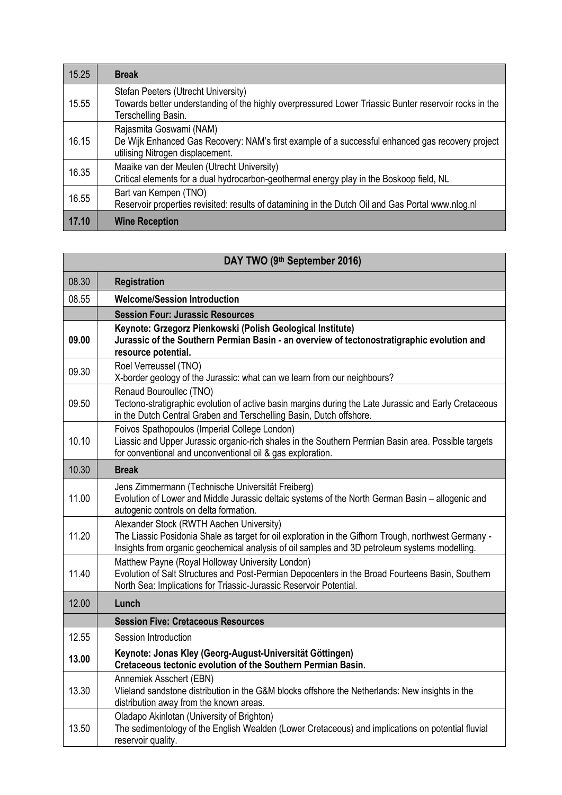| 15.25 | <b>Break</b>                                                                                                                                                        |
|-------|---------------------------------------------------------------------------------------------------------------------------------------------------------------------|
| 15.55 | Stefan Peeters (Utrecht University)<br>Towards better understanding of the highly overpressured Lower Triassic Bunter reservoir rocks in the<br>Terschelling Basin. |
| 16.15 | Rajasmita Goswami (NAM)<br>De Wijk Enhanced Gas Recovery: NAM's first example of a successful enhanced gas recovery project<br>utilising Nitrogen displacement.     |
| 16.35 | Maaike van der Meulen (Utrecht University)<br>Critical elements for a dual hydrocarbon-geothermal energy play in the Boskoop field, NL                              |
| 16.55 | Bart van Kempen (TNO)<br>Reservoir properties revisited: results of datamining in the Dutch Oil and Gas Portal www.nlog.nl                                          |
| 17.10 | <b>Wine Reception</b>                                                                                                                                               |

## **DAY TWO (9th September 2016)**

| 08.30 | <b>Registration</b>                                                                                                                                                                                                                               |
|-------|---------------------------------------------------------------------------------------------------------------------------------------------------------------------------------------------------------------------------------------------------|
| 08.55 | <b>Welcome/Session Introduction</b>                                                                                                                                                                                                               |
|       | <b>Session Four: Jurassic Resources</b>                                                                                                                                                                                                           |
| 09.00 | Keynote: Grzegorz Pienkowski (Polish Geological Institute)<br>Jurassic of the Southern Permian Basin - an overview of tectonostratigraphic evolution and<br>resource potential.                                                                   |
| 09.30 | Roel Verreussel (TNO)<br>X-border geology of the Jurassic: what can we learn from our neighbours?                                                                                                                                                 |
| 09.50 | Renaud Bouroullec (TNO)<br>Tectono-stratigraphic evolution of active basin margins during the Late Jurassic and Early Cretaceous<br>in the Dutch Central Graben and Terschelling Basin, Dutch offshore.                                           |
| 10.10 | Foivos Spathopoulos (Imperial College London)<br>Liassic and Upper Jurassic organic-rich shales in the Southern Permian Basin area. Possible targets<br>for conventional and unconventional oil & gas exploration.                                |
| 10.30 | <b>Break</b>                                                                                                                                                                                                                                      |
| 11.00 | Jens Zimmermann (Technische Universität Freiberg)<br>Evolution of Lower and Middle Jurassic deltaic systems of the North German Basin - allogenic and<br>autogenic controls on delta formation.                                                   |
| 11.20 | Alexander Stock (RWTH Aachen University)<br>The Liassic Posidonia Shale as target for oil exploration in the Gifhorn Trough, northwest Germany -<br>Insights from organic geochemical analysis of oil samples and 3D petroleum systems modelling. |
| 11.40 | Matthew Payne (Royal Holloway University London)<br>Evolution of Salt Structures and Post-Permian Depocenters in the Broad Fourteens Basin, Southern<br>North Sea: Implications for Triassic-Jurassic Reservoir Potential.                        |
| 12.00 | Lunch                                                                                                                                                                                                                                             |
|       | <b>Session Five: Cretaceous Resources</b>                                                                                                                                                                                                         |
| 12.55 | Session Introduction                                                                                                                                                                                                                              |
| 13.00 | Keynote: Jonas Kley (Georg-August-Universität Göttingen)<br>Cretaceous tectonic evolution of the Southern Permian Basin.                                                                                                                          |
| 13.30 | Annemiek Asschert (EBN)<br>Vlieland sandstone distribution in the G&M blocks offshore the Netherlands: New insights in the<br>distribution away from the known areas.                                                                             |
| 13.50 | Oladapo Akinlotan (University of Brighton)<br>The sedimentology of the English Wealden (Lower Cretaceous) and implications on potential fluvial<br>reservoir quality.                                                                             |